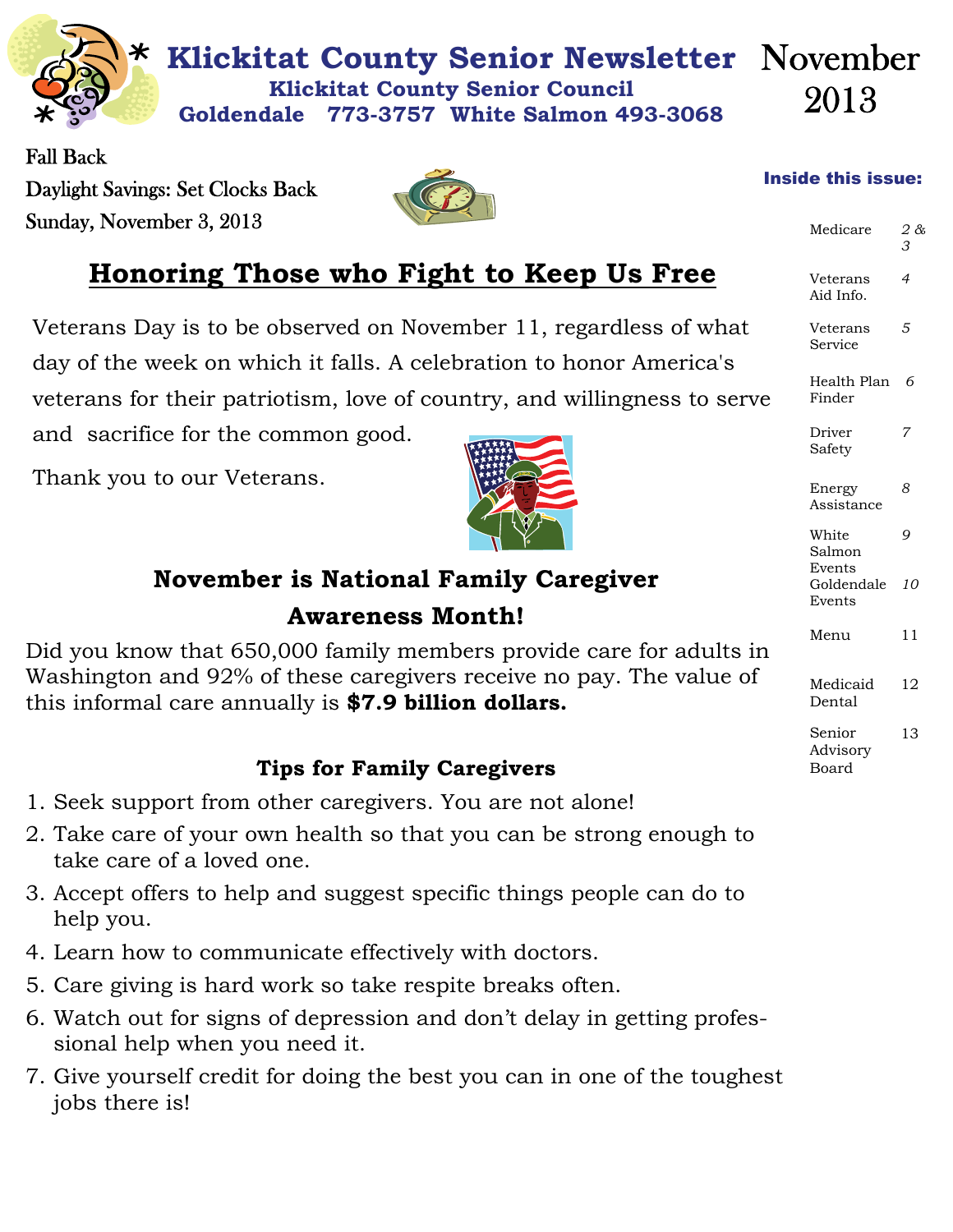

Fall Back Daylight Savings: Set Clocks Back Sunday, November 3, 2013



## **Honoring Those who Fight to Keep Us Free**

Veterans Day is to be observed on November 11, regardless of what day of the week on which it falls. A celebration to honor America's veterans for their patriotism, love of country, and willingness to serve

and sacrifice for the common good.

Thank you to our Veterans.



## **November is National Family Caregiver Awareness Month!**

Did you know that 650,000 family members provide care for adults in Washington and 92% of these caregivers receive no pay. The value of this informal care annually is **\$7.9 billion dollars.** 

### **Tips for Family Caregivers**

- 1. Seek support from other caregivers. You are not alone!
- 2. Take care of your own health so that you can be strong enough to take care of a loved one.
- 3. Accept offers to help and suggest specific things people can do to help you.
- 4. Learn how to communicate effectively with doctors.
- 5. Care giving is hard work so take respite breaks often.
- 6. Watch out for signs of depression and don't delay in getting professional help when you need it.
- 7. Give yourself credit for doing the best you can in one of the toughest jobs there is!

#### Inside this issue:

| Medicare                       | 2 &<br>3       |
|--------------------------------|----------------|
| Veterans<br>Aid Info.          | $\overline{4}$ |
| Veterans<br>Service            | 5              |
| Health Plan<br>Finder          | 6              |
| Driver<br>Safety               |                |
| Energy<br>Assistance           | 8              |
| White<br>Salmon                | 9              |
| Events<br>Goldendale<br>Events | 10             |
| Menu                           | 11             |
| Medicaid<br>Dental             | 12             |
| Senior<br>Advisory<br>Board    | 13             |
|                                |                |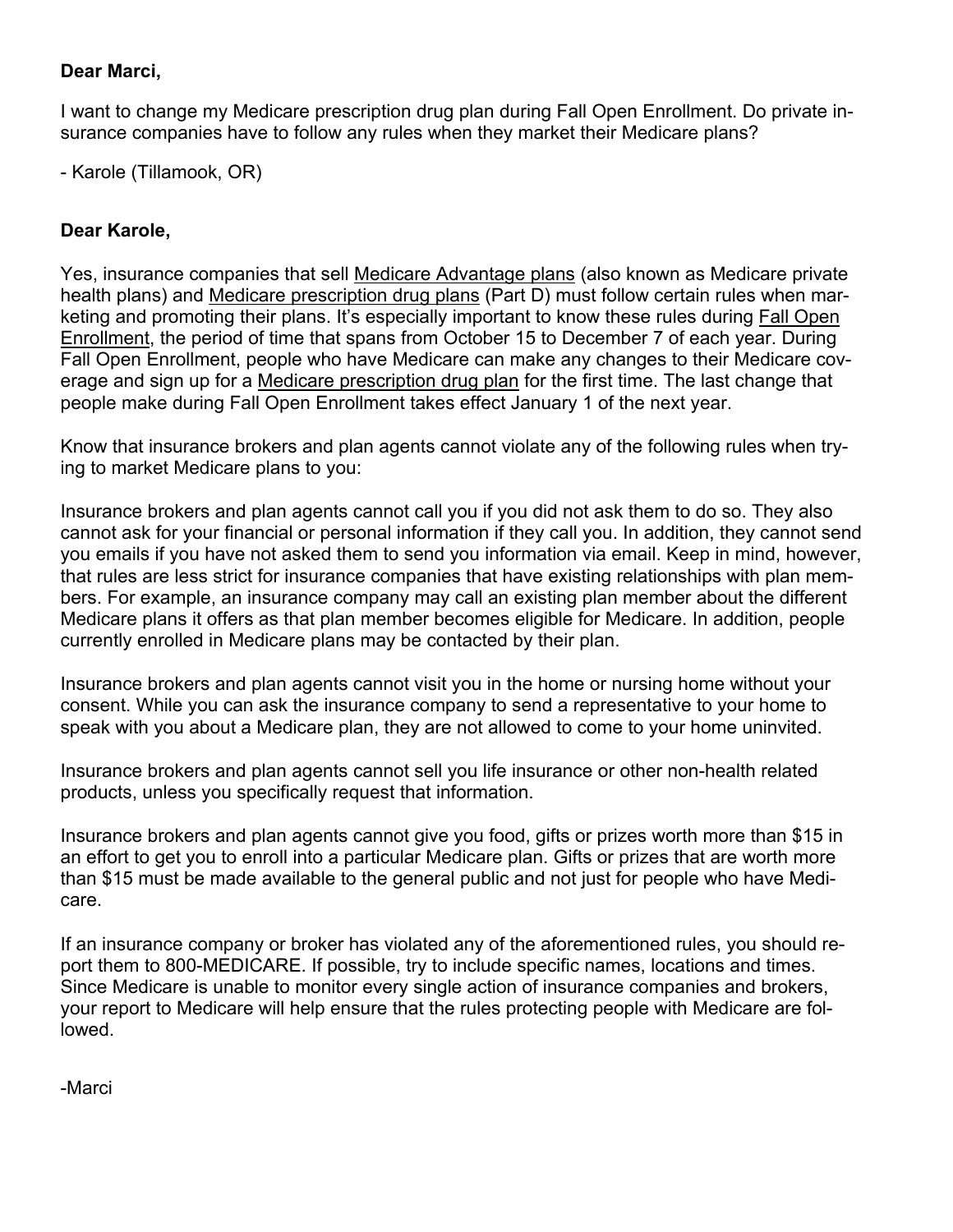#### **Dear Marci,**

I want to change my Medicare prescription drug plan during Fall Open Enrollment. Do private insurance companies have to follow any rules when they market their Medicare plans?

- Karole (Tillamook, OR)

#### **Dear Karole,**

Yes, insurance companies that sell [Medicare Advantage plans](http://e.medicarerights-email.org/l.jsp?d=8738.726047.1282.8b9iBgjO27fAN3GP1QhkODQ..A) (also known as Medicare private health plans) and [Medicare prescription drug plans](http://e.medicarerights-email.org/l.jsp?d=8738.726048.1282.8b9iBgjO27fAN3GP1QhkODQ..A) (Part D) must follow certain rules when marketing and promoting their plans. It's especially important to know these rules during [Fall Open](http://e.medicarerights-email.org/l.jsp?d=8738.726049.1282.8b9iBgjO27fAN3GP1QhkODQ..A)  [Enrollment](http://e.medicarerights-email.org/l.jsp?d=8738.726049.1282.8b9iBgjO27fAN3GP1QhkODQ..A), the period of time that spans from October 15 to December 7 of each year. During Fall Open Enrollment, people who have Medicare can make any changes to their Medicare coverage and sign up for a [Medicare prescription drug plan](http://e.medicarerights-email.org/l.jsp?d=8738.726050.1282.8b9iBgjO27fAN3GP1QhkODQ..A) for the first time. The last change that people make during Fall Open Enrollment takes effect January 1 of the next year.

Know that insurance brokers and plan agents cannot violate any of the following rules when trying to market Medicare plans to you:

Insurance brokers and plan agents cannot call you if you did not ask them to do so. They also cannot ask for your financial or personal information if they call you. In addition, they cannot send you emails if you have not asked them to send you information via email. Keep in mind, however, that rules are less strict for insurance companies that have existing relationships with plan members. For example, an insurance company may call an existing plan member about the different Medicare plans it offers as that plan member becomes eligible for Medicare. In addition, people currently enrolled in Medicare plans may be contacted by their plan.

Insurance brokers and plan agents cannot visit you in the home or nursing home without your consent. While you can ask the insurance company to send a representative to your home to speak with you about a Medicare plan, they are not allowed to come to your home uninvited.

Insurance brokers and plan agents cannot sell you life insurance or other non-health related products, unless you specifically request that information.

Insurance brokers and plan agents cannot give you food, gifts or prizes worth more than \$15 in an effort to get you to enroll into a particular Medicare plan. Gifts or prizes that are worth more than \$15 must be made available to the general public and not just for people who have Medicare.

If an insurance company or broker has violated any of the aforementioned rules, you should report them to 800-MEDICARE. If possible, try to include specific names, locations and times. Since Medicare is unable to monitor every single action of insurance companies and brokers, your report to Medicare will help ensure that the rules protecting people with Medicare are followed.

-Marci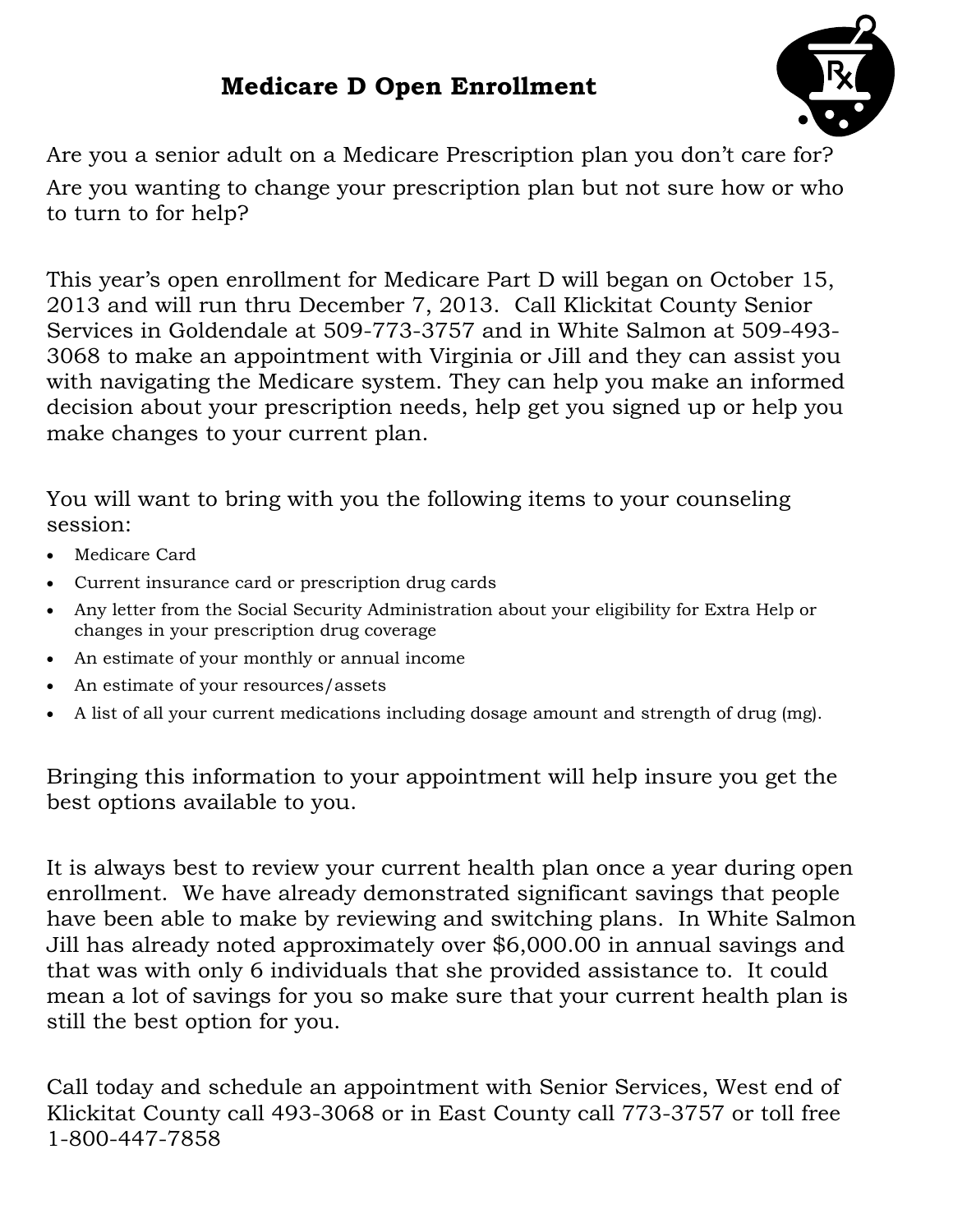## **Medicare D Open Enrollment**



Are you a senior adult on a Medicare Prescription plan you don't care for? Are you wanting to change your prescription plan but not sure how or who to turn to for help?

This year's open enrollment for Medicare Part D will began on October 15, 2013 and will run thru December 7, 2013. Call Klickitat County Senior Services in Goldendale at 509-773-3757 and in White Salmon at 509-493- 3068 to make an appointment with Virginia or Jill and they can assist you with navigating the Medicare system. They can help you make an informed decision about your prescription needs, help get you signed up or help you make changes to your current plan.

You will want to bring with you the following items to your counseling session:

- Medicare Card
- Current insurance card or prescription drug cards
- Any letter from the Social Security Administration about your eligibility for Extra Help or changes in your prescription drug coverage
- An estimate of your monthly or annual income
- An estimate of your resources/assets
- A list of all your current medications including dosage amount and strength of drug (mg).

Bringing this information to your appointment will help insure you get the best options available to you.

It is always best to review your current health plan once a year during open enrollment. We have already demonstrated significant savings that people have been able to make by reviewing and switching plans. In White Salmon Jill has already noted approximately over \$6,000.00 in annual savings and that was with only 6 individuals that she provided assistance to. It could mean a lot of savings for you so make sure that your current health plan is still the best option for you.

Call today and schedule an appointment with Senior Services, West end of Klickitat County call 493-3068 or in East County call 773-3757 or toll free 1-800-447-7858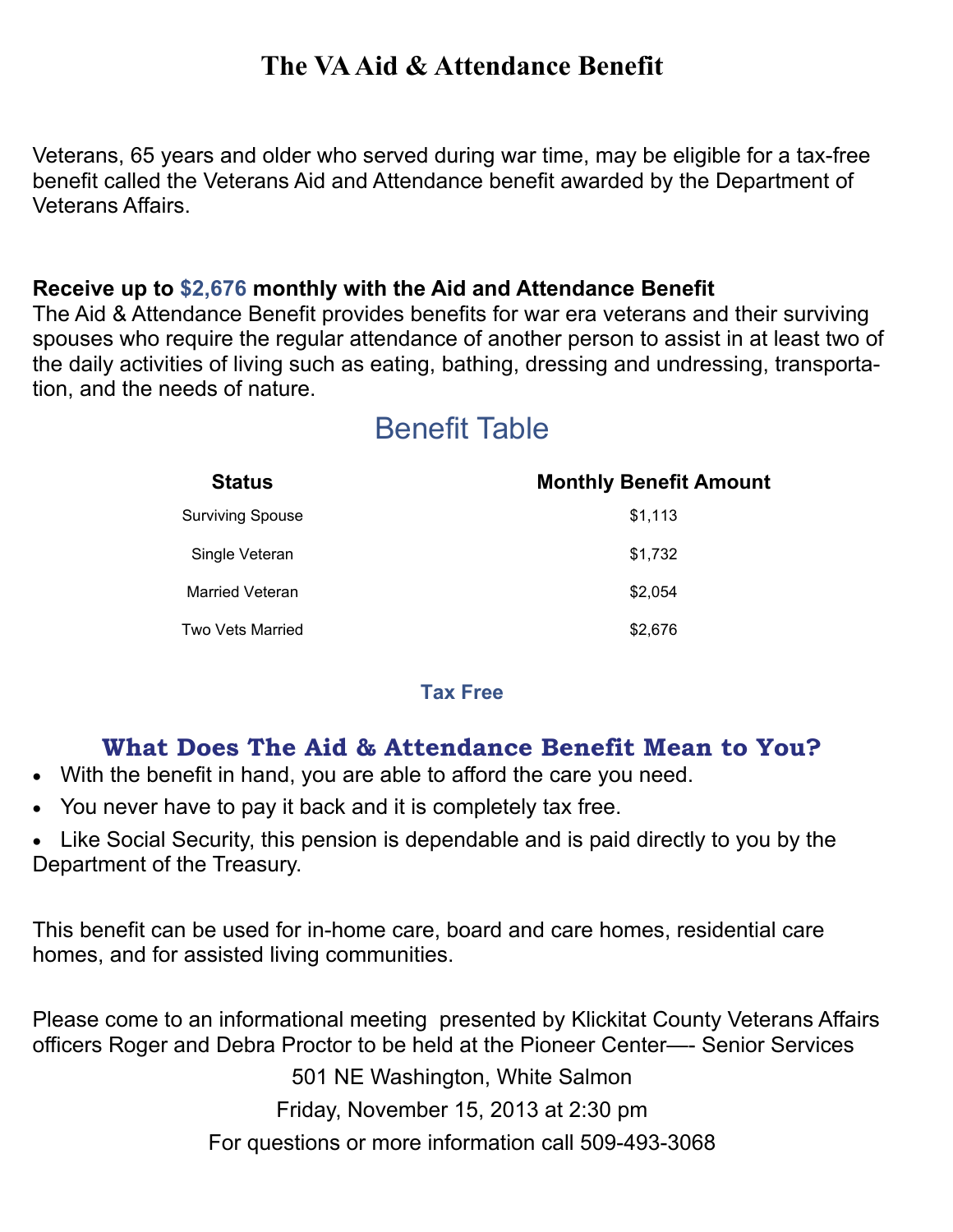## **The VA Aid & Attendance Benefit**

Veterans, 65 years and older who served during war time, may be eligible for a tax-free benefit called the Veterans Aid and Attendance benefit awarded by the Department of Veterans Affairs.

#### **Receive up to \$2,676 monthly with the Aid and Attendance Benefit**

The Aid & Attendance Benefit provides benefits for war era veterans and their surviving spouses who require the regular attendance of another person to assist in at least two of the daily activities of living such as eating, bathing, dressing and undressing, transportation, and the needs of nature.

## Benefit Table

| <b>Status</b>           | <b>Monthly Benefit Amount</b> |
|-------------------------|-------------------------------|
| <b>Surviving Spouse</b> | \$1,113                       |
| Single Veteran          | \$1,732                       |
| <b>Married Veteran</b>  | \$2,054                       |
| Two Vets Married        | \$2,676                       |

#### **Tax Free**

#### **What Does The Aid & Attendance Benefit Mean to You?**

- With the benefit in hand, you are able to afford the care you need.
- You never have to pay it back and it is completely tax free.
- Like Social Security, this pension is dependable and is paid directly to you by the Department of the Treasury.

This benefit can be used for in-home care, board and care homes, residential care homes, and for assisted living communities.

Please come to an informational meeting presented by Klickitat County Veterans Affairs officers Roger and Debra Proctor to be held at the Pioneer Center—- Senior Services

501 NE Washington, White Salmon

Friday, November 15, 2013 at 2:30 pm

For questions or more information call 509-493-3068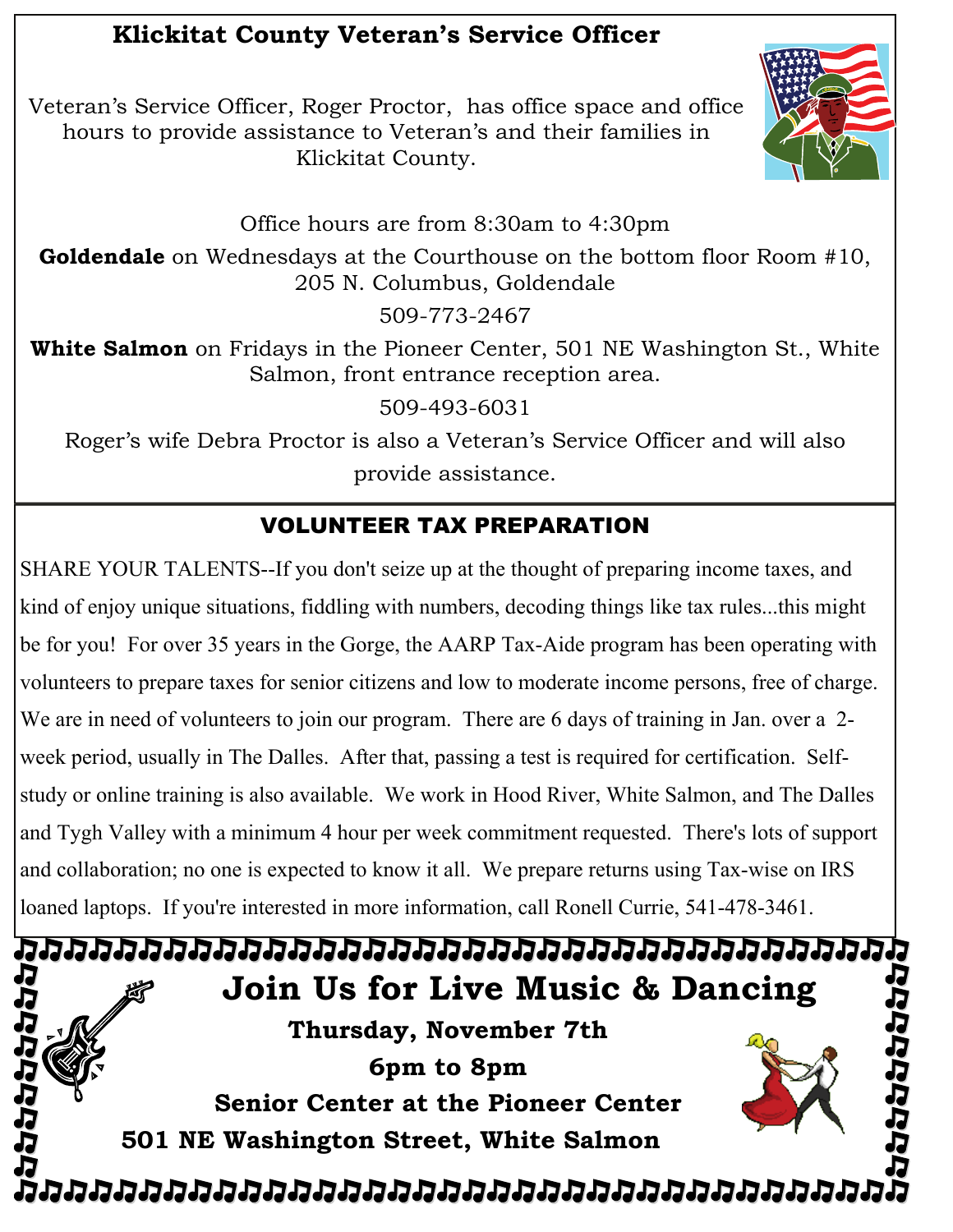## **Klickitat County Veteran's Service Officer**

Veteran's Service Officer, Roger Proctor, has office space and office hours to provide assistance to Veteran's and their families in Klickitat County.



Office hours are from 8:30am to 4:30pm

**Goldendale** on Wednesdays at the Courthouse on the bottom floor Room #10, 205 N. Columbus, Goldendale

509-773-2467

**White Salmon** on Fridays in the Pioneer Center, 501 NE Washington St., White Salmon, front entrance reception area.

509-493-6031

Roger's wife Debra Proctor is also a Veteran's Service Officer and will also provide assistance.

## VOLUNTEER TAX PREPARATION

SHARE YOUR TALENTS--If you don't seize up at the thought of preparing income taxes, and kind of enjoy unique situations, fiddling with numbers, decoding things like tax rules...this might be for you! For over 35 years in the Gorge, the AARP Tax-Aide program has been operating with volunteers to prepare taxes for senior citizens and low to moderate income persons, free of charge. We are in need of volunteers to join our program. There are 6 days of training in Jan. over a 2week period, usually in The Dalles. After that, passing a test is required for certification. Selfstudy or online training is also available. We work in Hood River, White Salmon, and The Dalles and Tygh Valley with a minimum 4 hour per week commitment requested. There's lots of support and collaboration; no one is expected to know it all. We prepare returns using Tax-wise on IRS loaned laptops. If you're interested in more information, call Ronell Currie, 541-478-3461.

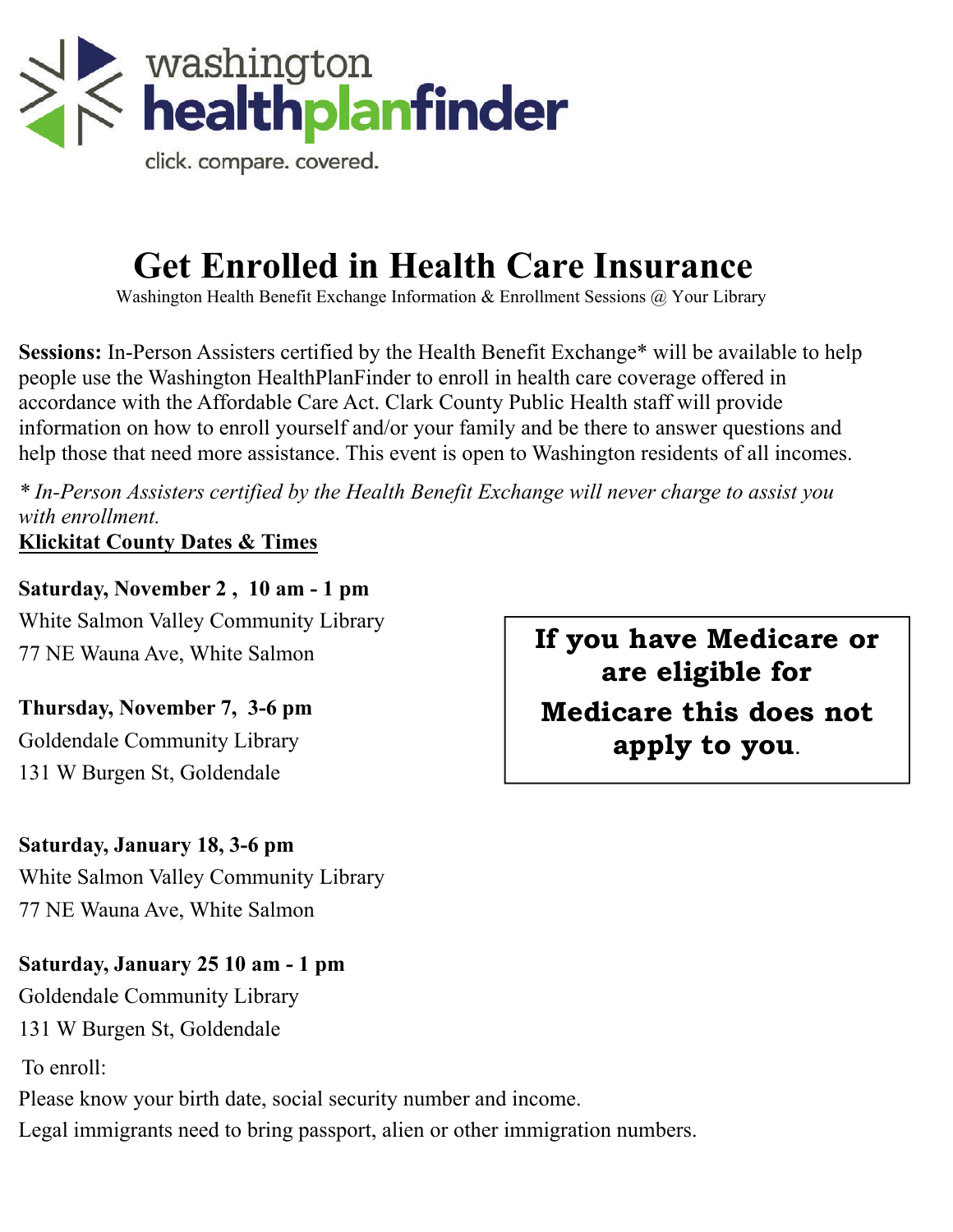

click. compare. covered.

# **Get Enrolled in Health Care Insurance**

Washington Health Benefit Exchange Information & Enrollment Sessions @ Your Library

**Sessions:** In-Person Assisters certified by the Health Benefit Exchange\* will be available to help people use the Washington HealthPlanFinder to enroll in health care coverage offered in accordance with the Affordable Care Act. Clark County Public Health staff will provide information on how to enroll yourself and/or your family and be there to answer questions and help those that need more assistance. This event is open to Washington residents of all incomes.

*\* In-Person Assisters certified by the Health Benefit Exchange will never charge to assist you with enrollment.* 

**Klickitat County Dates & Times**

**Saturday, November 2 , 10 am - 1 pm** White Salmon Valley Community Library 77 NE Wauna Ave, White Salmon

**Thursday, November 7, 3-6 pm** Goldendale Community Library 131 W Burgen St, Goldendale

**Saturday, January 18, 3-6 pm** 

White Salmon Valley Community Library 77 NE Wauna Ave, White Salmon

**Saturday, January 25 10 am - 1 pm**  Goldendale Community Library 131 W Burgen St, Goldendale To enroll: Please know your birth date, social security number and income. Legal immigrants need to bring passport, alien or other immigration numbers.

**If you have Medicare or are eligible for Medicare this does not apply to you**.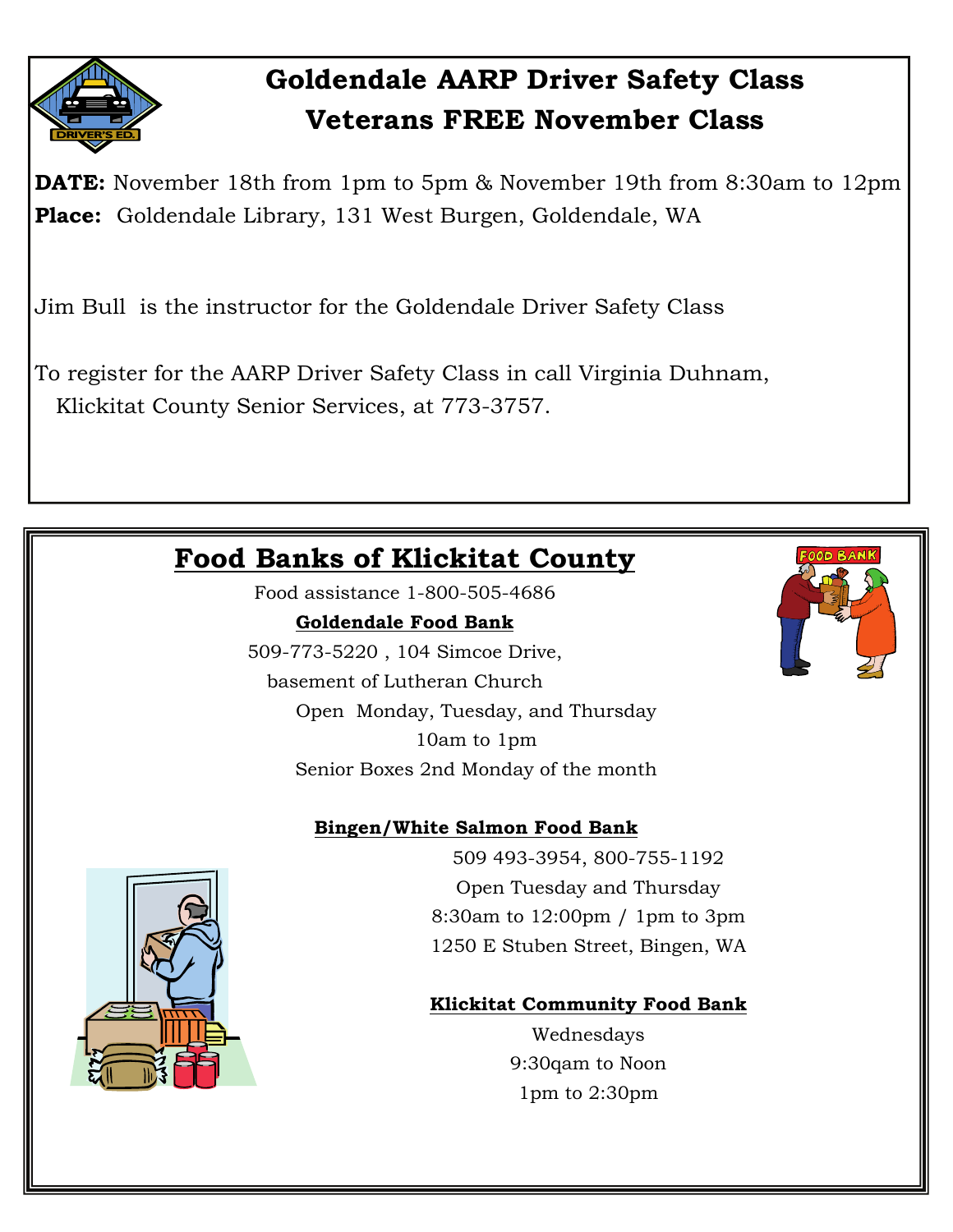

## **Goldendale AARP Driver Safety Class Veterans FREE November Class**

**DATE:** November 18th from 1pm to 5pm & November 19th from 8:30am to 12pm **Place:** Goldendale Library, 131 West Burgen, Goldendale, WA

Jim Bull is the instructor for the Goldendale Driver Safety Class

To register for the AARP Driver Safety Class in call Virginia Duhnam, Klickitat County Senior Services, at 773-3757.

## **Food Banks of Klickitat County**

Food assistance 1-800-505-4686

#### **Goldendale Food Bank**

509-773-5220 , 104 Simcoe Drive,

basement of Lutheran Church Open Monday, Tuesday, and Thursday 10am to 1pm

Senior Boxes 2nd Monday of the month

#### **Bingen/White Salmon Food Bank**

509 493-3954, 800-755-1192 Open Tuesday and Thursday 8:30am to 12:00pm / 1pm to 3pm 1250 E Stuben Street, Bingen, WA

#### **Klickitat Community Food Bank**

Wednesdays 9:30qam to Noon 1pm to 2:30pm



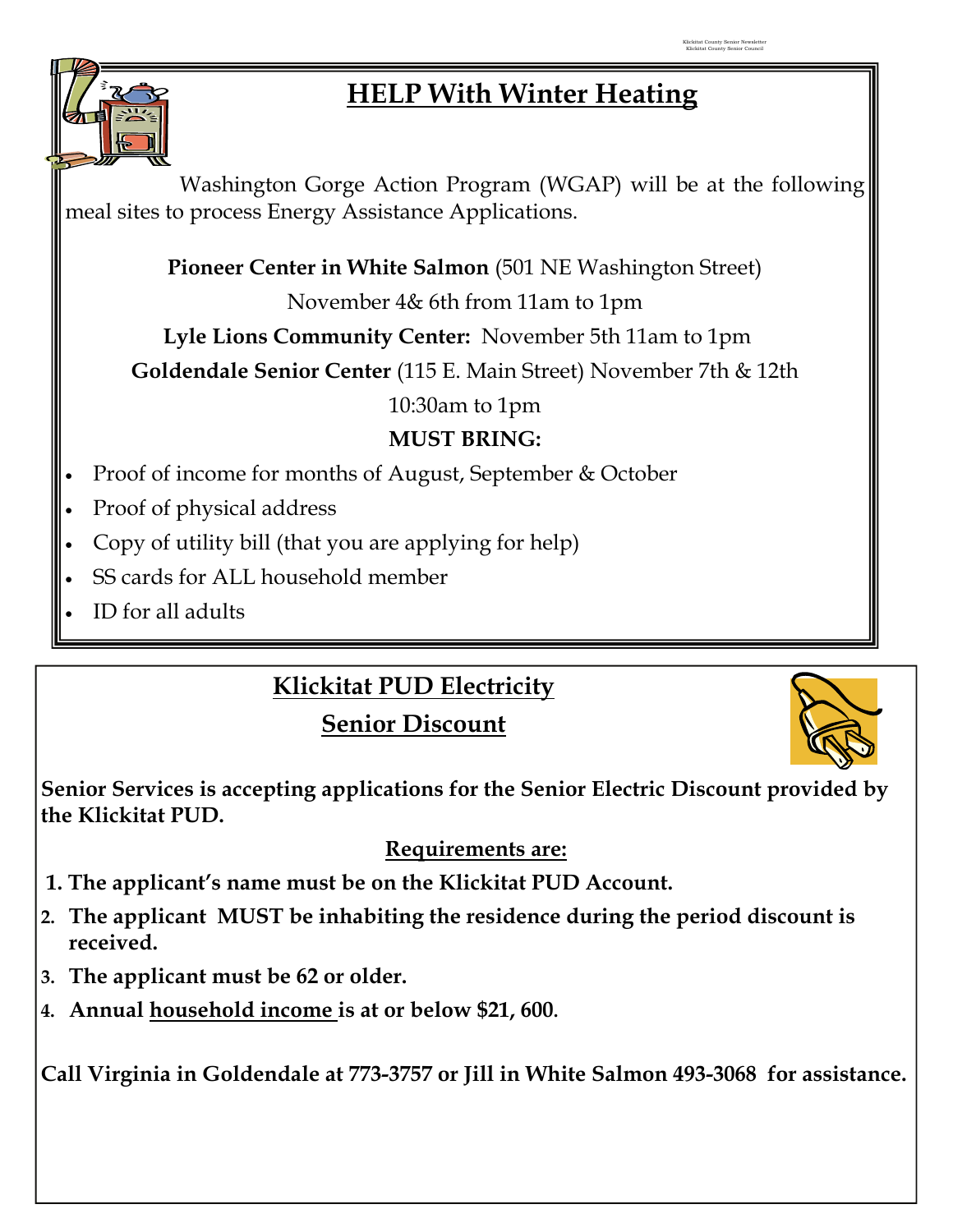

## **HELP With Winter Heating**

Washington Gorge Action Program (WGAP) will be at the following meal sites to process Energy Assistance Applications.

**Pioneer Center in White Salmon** (501 NE Washington Street)

November 4& 6th from 11am to 1pm

**Lyle Lions Community Center:** November 5th 11am to 1pm

**Goldendale Senior Center** (115 E. Main Street) November 7th & 12th

10:30am to 1pm

## **MUST BRING:**

- Proof of income for months of August, September & October
- Proof of physical address
- Copy of utility bill (that you are applying for help)
- SS cards for ALL household member
- ID for all adults

## **Klickitat PUD Electricity**

**Senior Discount**



**Senior Services is accepting applications for the Senior Electric Discount provided by the Klickitat PUD.** 

### **Requirements are:**

- **1. The applicant's name must be on the Klickitat PUD Account.**
- **2. The applicant MUST be inhabiting the residence during the period discount is received.**
- **3. The applicant must be 62 or older.**
- **4. Annual household income is at or below \$21, 600.**

**Call Virginia in Goldendale at 773-3757 or Jill in White Salmon 493-3068 for assistance.**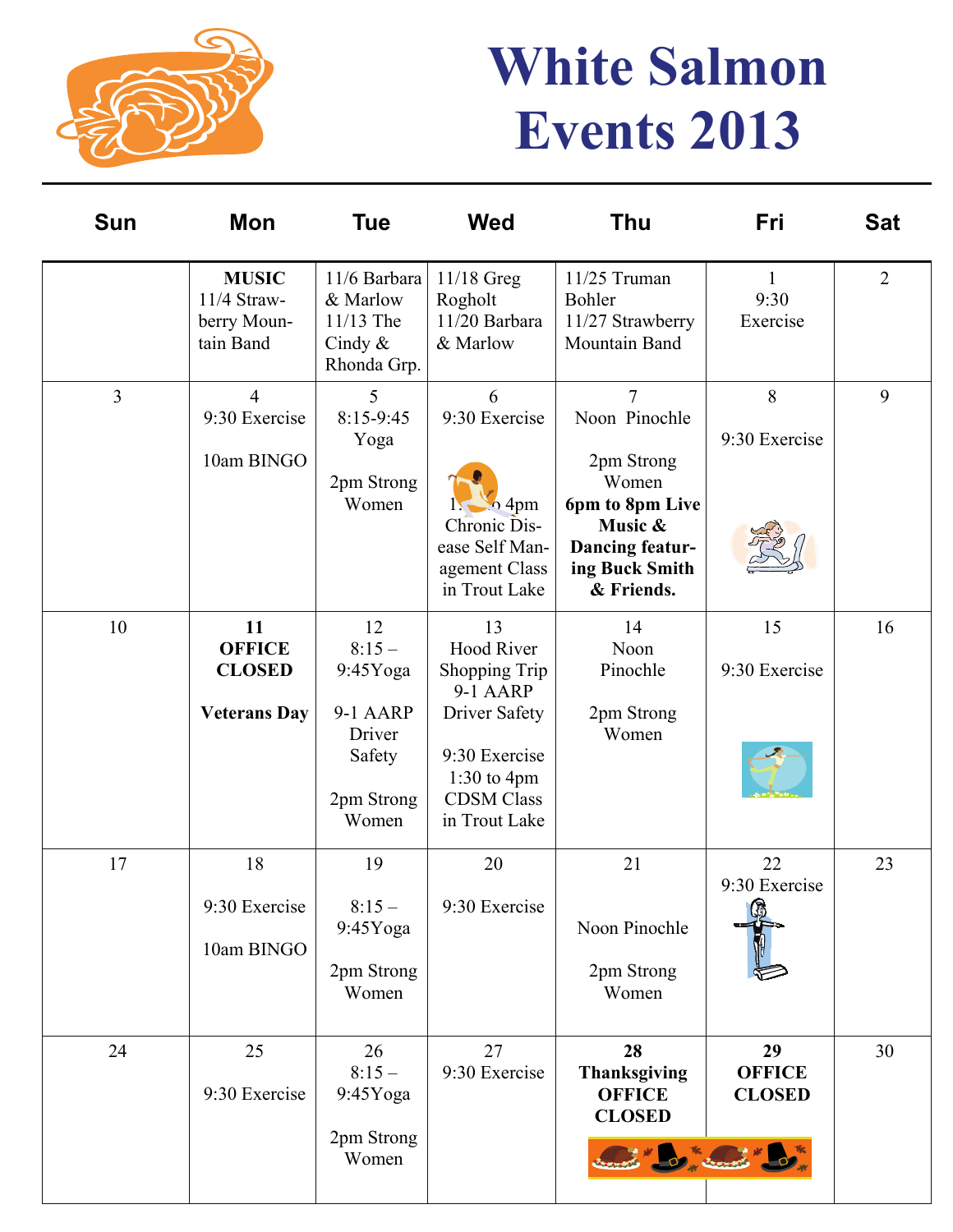

# **White Salmon Events 2013**

| <b>Sun</b>     | Mon                                                         | <b>Tue</b>                                                                          | <b>Wed</b>                                                                                                                                           | <b>Thu</b>                                                                                                                                     | Fri                                                                      | <b>Sat</b>     |
|----------------|-------------------------------------------------------------|-------------------------------------------------------------------------------------|------------------------------------------------------------------------------------------------------------------------------------------------------|------------------------------------------------------------------------------------------------------------------------------------------------|--------------------------------------------------------------------------|----------------|
|                | <b>MUSIC</b><br>11/4 Straw-<br>berry Moun-<br>tain Band     | 11/6 Barbara<br>& Marlow<br>11/13 The<br>Cindy $\&$<br>Rhonda Grp.                  | $11/18$ Greg<br>Rogholt<br>11/20 Barbara<br>& Marlow                                                                                                 | 11/25 Truman<br>Bohler<br>11/27 Strawberry<br>Mountain Band                                                                                    | 1<br>9:30<br>Exercise                                                    | $\overline{2}$ |
| $\overline{3}$ | $\overline{4}$<br>9:30 Exercise<br>10am BINGO               | 5<br>8:15-9:45<br>Yoga<br>2pm Strong<br>Women                                       | 6<br>9:30 Exercise<br>$\sim$ 4pm<br>Chronic Dis-<br>ease Self Man-<br>agement Class<br>in Trout Lake                                                 | $\overline{7}$<br>Noon Pinochle<br>2pm Strong<br>Women<br>6pm to 8pm Live<br>Music &<br><b>Dancing featur-</b><br>ing Buck Smith<br>& Friends. | 8<br>9:30 Exercise                                                       | 9              |
| 10             | 11<br><b>OFFICE</b><br><b>CLOSED</b><br><b>Veterans Day</b> | 12<br>$8:15-$<br>$9:45Y$ oga<br>9-1 AARP<br>Driver<br>Safety<br>2pm Strong<br>Women | 13<br><b>Hood River</b><br>Shopping Trip<br><b>9-1 AARP</b><br>Driver Safety<br>9:30 Exercise<br>$1:30$ to 4pm<br><b>CDSM</b> Class<br>in Trout Lake | 14<br>Noon<br>Pinochle<br>2pm Strong<br>Women                                                                                                  | 15<br>9:30 Exercise                                                      | 16             |
| 17             | 18<br>9:30 Exercise<br>10am BINGO                           | 19<br>$8:15-$<br>$9:45Y$ oga<br>2pm Strong<br>Women                                 | 20<br>9:30 Exercise                                                                                                                                  | 21<br>Noon Pinochle<br>2pm Strong<br>Women                                                                                                     | 22<br>9:30 Exercise<br>G.                                                | 23             |
| 24             | 25<br>9:30 Exercise                                         | 26<br>$8:15-$<br>$9:45Y$ oga<br>2pm Strong<br>Women                                 | 27<br>9:30 Exercise                                                                                                                                  | 28<br><b>Thanksgiving</b><br><b>OFFICE</b><br><b>CLOSED</b>                                                                                    | 29<br><b>OFFICE</b><br><b>CLOSED</b><br><b>ALL COMPANY AND INCOMPANY</b> | 30             |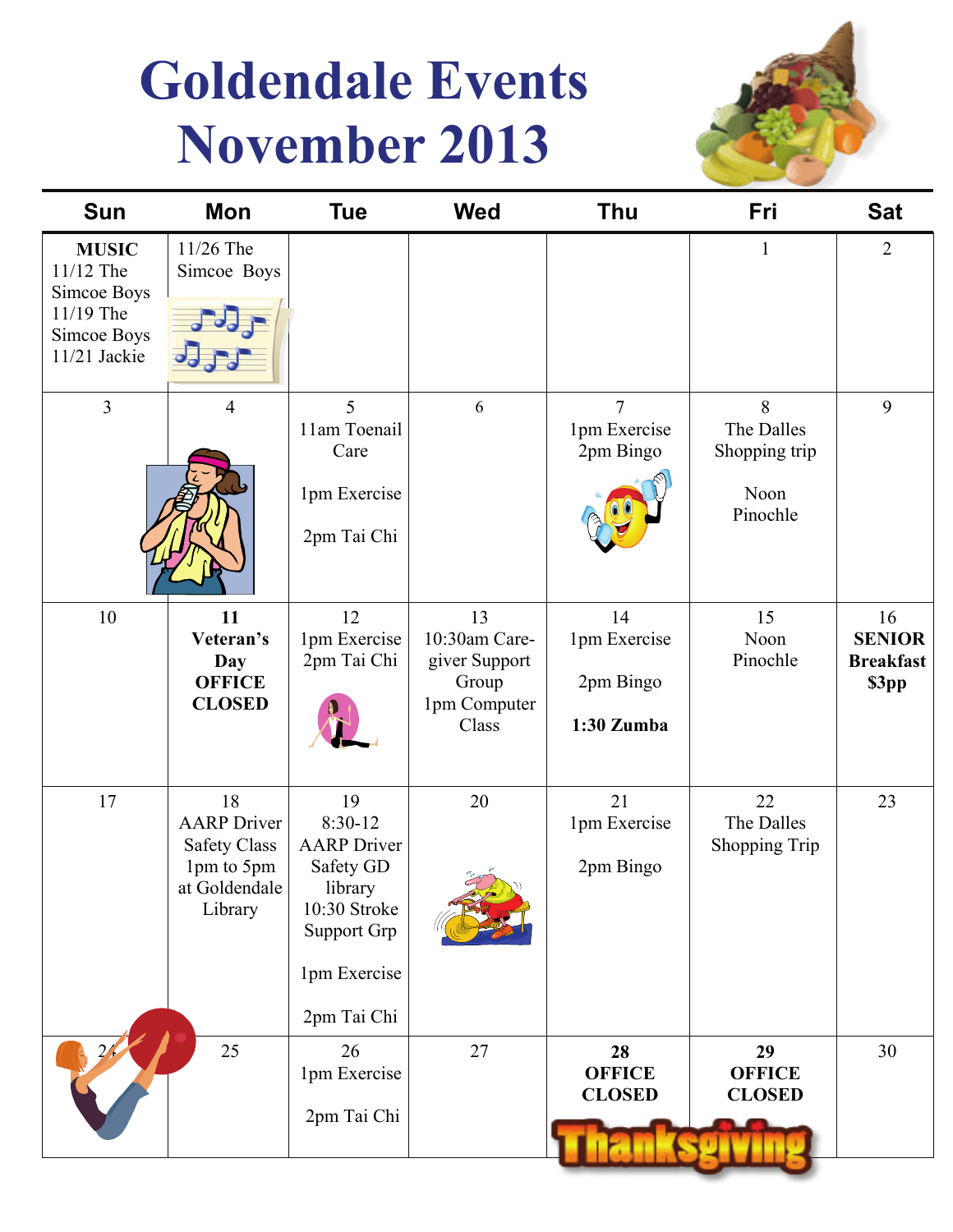# **Goldendale Events November 2013**



| <b>Sun</b>                                                                           | Mon                                                                                       | <b>Tue</b>                                                                                                                         | <b>Wed</b>                                                             | <b>Thu</b>                                    | Fri                                                  | <b>Sat</b>                                       |
|--------------------------------------------------------------------------------------|-------------------------------------------------------------------------------------------|------------------------------------------------------------------------------------------------------------------------------------|------------------------------------------------------------------------|-----------------------------------------------|------------------------------------------------------|--------------------------------------------------|
| <b>MUSIC</b><br>11/12 The<br>Simcoe Boys<br>11/19 The<br>Simcoe Boys<br>11/21 Jackie | 11/26 The<br>Simcoe Boys                                                                  |                                                                                                                                    |                                                                        |                                               | $\mathbf{1}$                                         | $\overline{2}$                                   |
| $\overline{3}$                                                                       | 4                                                                                         | 5<br>11am Toenail<br>Care<br>1pm Exercise<br>2pm Tai Chi                                                                           | 6                                                                      | 7<br>1pm Exercise<br>2pm Bingo                | 8<br>The Dalles<br>Shopping trip<br>Noon<br>Pinochle | 9                                                |
| 10                                                                                   | 11<br>Veteran's<br>Day<br><b>OFFICE</b><br><b>CLOSED</b>                                  | 12<br>1pm Exercise<br>2pm Tai Chi                                                                                                  | 13<br>10:30am Care-<br>giver Support<br>Group<br>1pm Computer<br>Class | 14<br>1pm Exercise<br>2pm Bingo<br>1:30 Zumba | 15<br>Noon<br>Pinochle                               | 16<br><b>SENIOR</b><br><b>Breakfast</b><br>\$3pp |
| 17                                                                                   | 18<br><b>AARP</b> Driver<br><b>Safety Class</b><br>1pm to 5pm<br>at Goldendale<br>Library | 19<br>$8:30-12$<br><b>AARP</b> Driver<br>Safety GD<br>library<br>10:30 Stroke<br><b>Support Grp</b><br>1pm Exercise<br>2pm Tai Chi | 20                                                                     | 21<br>1pm Exercise<br>2pm Bingo               | 22<br>The Dalles<br>Shopping Trip                    | 23                                               |
|                                                                                      | 25                                                                                        | 26<br>1pm Exercise<br>2pm Tai Chi                                                                                                  | 27                                                                     | 28<br><b>OFFICE</b><br><b>CLOSED</b>          | 29<br><b>OFFICE</b><br><b>CLOSED</b>                 | 30                                               |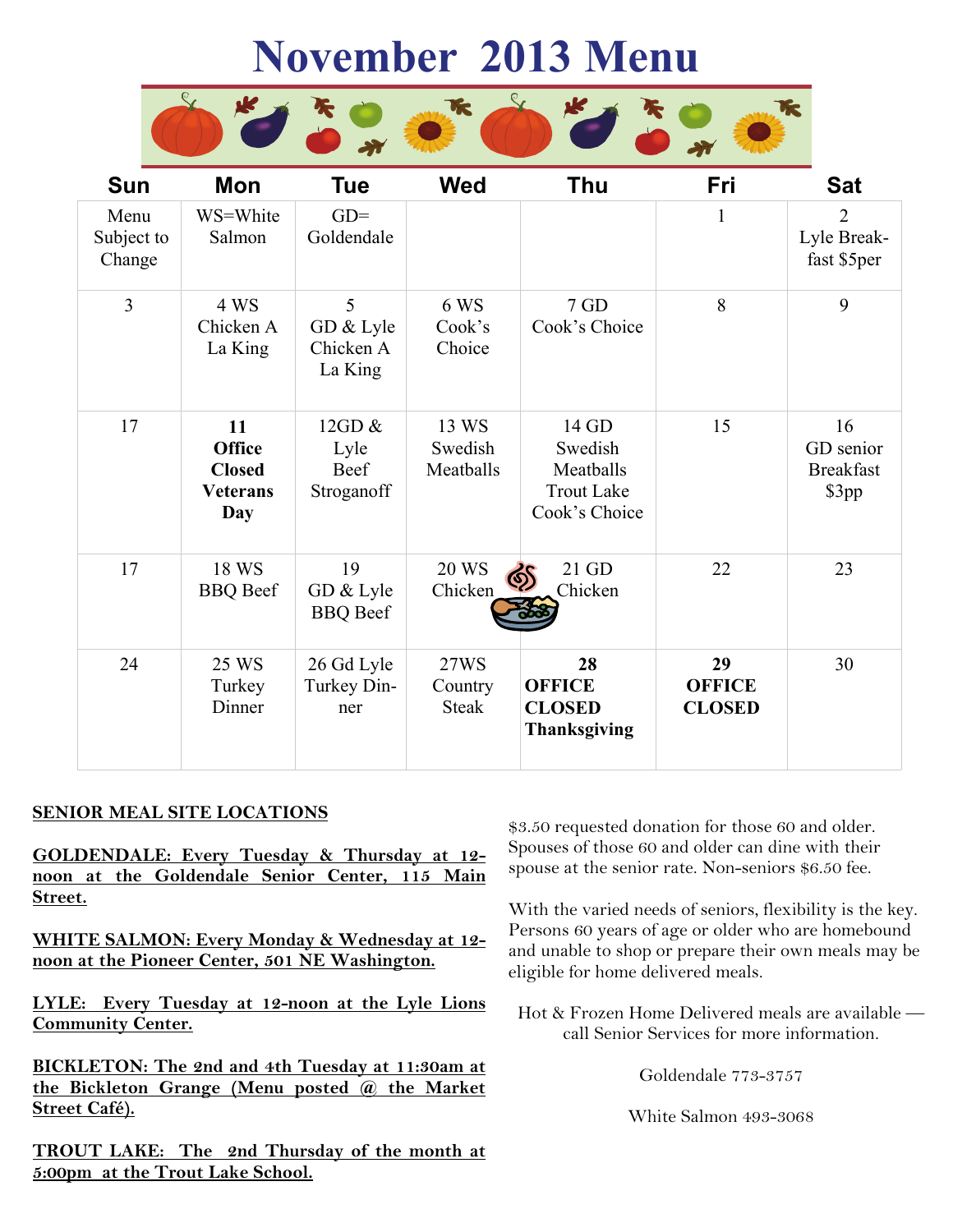# **November 2013 Menu**



| <b>Sun</b>                   | Mon                                                            | <b>Tue</b>                                     | <b>Wed</b>                      | Thu                                                                 | Fri                                  | <b>Sat</b>                                   |
|------------------------------|----------------------------------------------------------------|------------------------------------------------|---------------------------------|---------------------------------------------------------------------|--------------------------------------|----------------------------------------------|
| Menu<br>Subject to<br>Change | WS=White<br>Salmon                                             | $GD =$<br>Goldendale                           |                                 |                                                                     | $\mathbf{1}$                         | $\overline{2}$<br>Lyle Break-<br>fast \$5per |
| $\overline{3}$               | 4 WS<br>Chicken A<br>La King                                   | 5<br>GD & Lyle<br>Chicken A<br>La King         | 6 WS<br>Cook's<br>Choice        | 7 GD<br>Cook's Choice                                               | 8                                    | 9                                            |
| 17                           | 11<br><b>Office</b><br><b>Closed</b><br><b>Veterans</b><br>Day | 12GD $\&$<br>Lyle<br><b>Beef</b><br>Stroganoff | 13 WS<br>Swedish<br>Meatballs   | 14 GD<br>Swedish<br>Meatballs<br><b>Trout Lake</b><br>Cook's Choice | 15                                   | 16<br>GD senior<br><b>Breakfast</b><br>\$3pp |
| 17                           | 18 WS<br><b>BBQ</b> Beef                                       | 19<br>GD & Lyle<br><b>BBQ</b> Beef             | <b>20 WS</b><br>Chicken         | 21 GD<br>कु<br>Chicken                                              | 22                                   | 23                                           |
| 24                           | 25 WS<br>Turkey<br>Dinner                                      | 26 Gd Lyle<br>Turkey Din-<br>ner               | 27WS<br>Country<br><b>Steak</b> | 28<br><b>OFFICE</b><br><b>CLOSED</b><br><b>Thanksgiving</b>         | 29<br><b>OFFICE</b><br><b>CLOSED</b> | 30                                           |

#### **SENIOR MEAL SITE LOCATIONS**

**GOLDENDALE: Every Tuesday & Thursday at 12 noon at the Goldendale Senior Center, 115 Main Street.**

**WHITE SALMON: Every Monday & Wednesday at 12 noon at the Pioneer Center, 501 NE Washington.**

**LYLE: Every Tuesday at 12-noon at the Lyle Lions Community Center.**

**BICKLETON: The 2nd and 4th Tuesday at 11:30am at the Bickleton Grange (Menu posted @ the Market Street Café).**

**TROUT LAKE: The 2nd Thursday of the month at 5:00pm at the Trout Lake School.**

\$3.50 requested donation for those 60 and older. Spouses of those 60 and older can dine with their spouse at the senior rate. Non-seniors \$6.50 fee.

With the varied needs of seniors, flexibility is the key. Persons 60 years of age or older who are homebound and unable to shop or prepare their own meals may be eligible for home delivered meals.

Hot & Frozen Home Delivered meals are available call Senior Services for more information.

Goldendale 773-3757

White Salmon 493-3068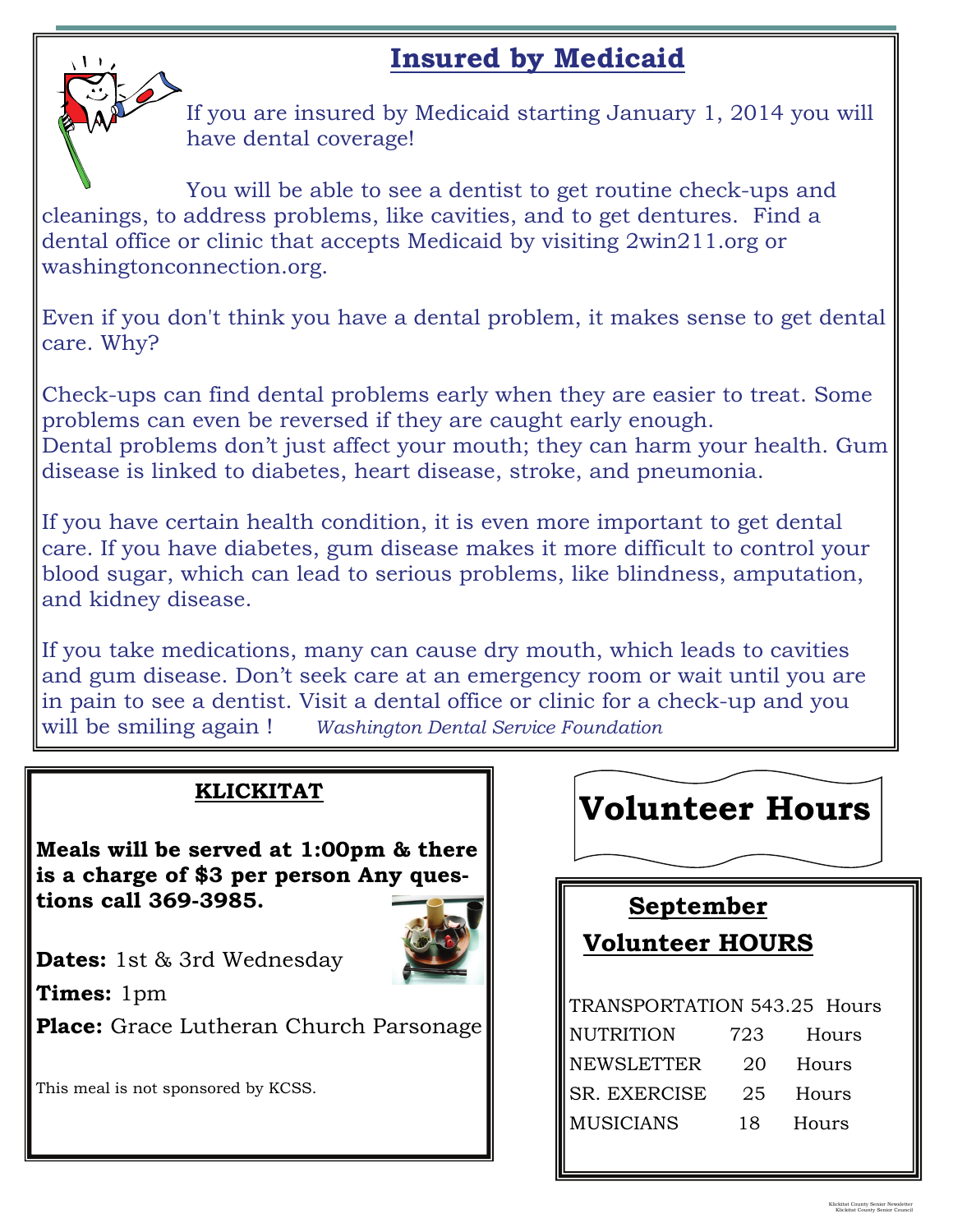## **Insured by Medicaid**



If you are insured by Medicaid starting January 1, 2014 you will have dental coverage!

You will be able to see a dentist to get routine check-ups and cleanings, to address problems, like cavities, and to get dentures. Find a dental office or clinic that accepts Medicaid by visiting 2win211.org or washingtonconnection.org.

Even if you don't think you have a dental problem, it makes sense to get dental care. Why?

Check-ups can find dental problems early when they are easier to treat. Some problems can even be reversed if they are caught early enough. Dental problems don't just affect your mouth; they can harm your health. Gum disease is linked to diabetes, heart disease, stroke, and pneumonia.

If you have certain health condition, it is even more important to get dental care. If you have diabetes, gum disease makes it more difficult to control your blood sugar, which can lead to serious problems, like blindness, amputation, and kidney disease.

If you take medications, many can cause dry mouth, which leads to cavities and gum disease. Don't seek care at an emergency room or wait until you are in pain to see a dentist. Visit a dental office or clinic for a check-up and you will be smiling again ! *Washington Dental Service Foundation*

### **KLICKITAT**

**Meals will be served at 1:00pm & there is a charge of \$3 per person Any questions call 369-3985.** 



**Dates:** 1st & 3rd Wednesday **Times:** 1pm

**Place:** Grace Lutheran Church Parsonage

This meal is not sponsored by KCSS.

# **Volunteer Hours**

# **September Volunteer HOURS**  TRANSPORTATION 543.25 Hours NUTRITION 723 Hours NEWSLETTER 20 Hours SR. EXERCISE 25 Hours MUSICIANS 18 Hours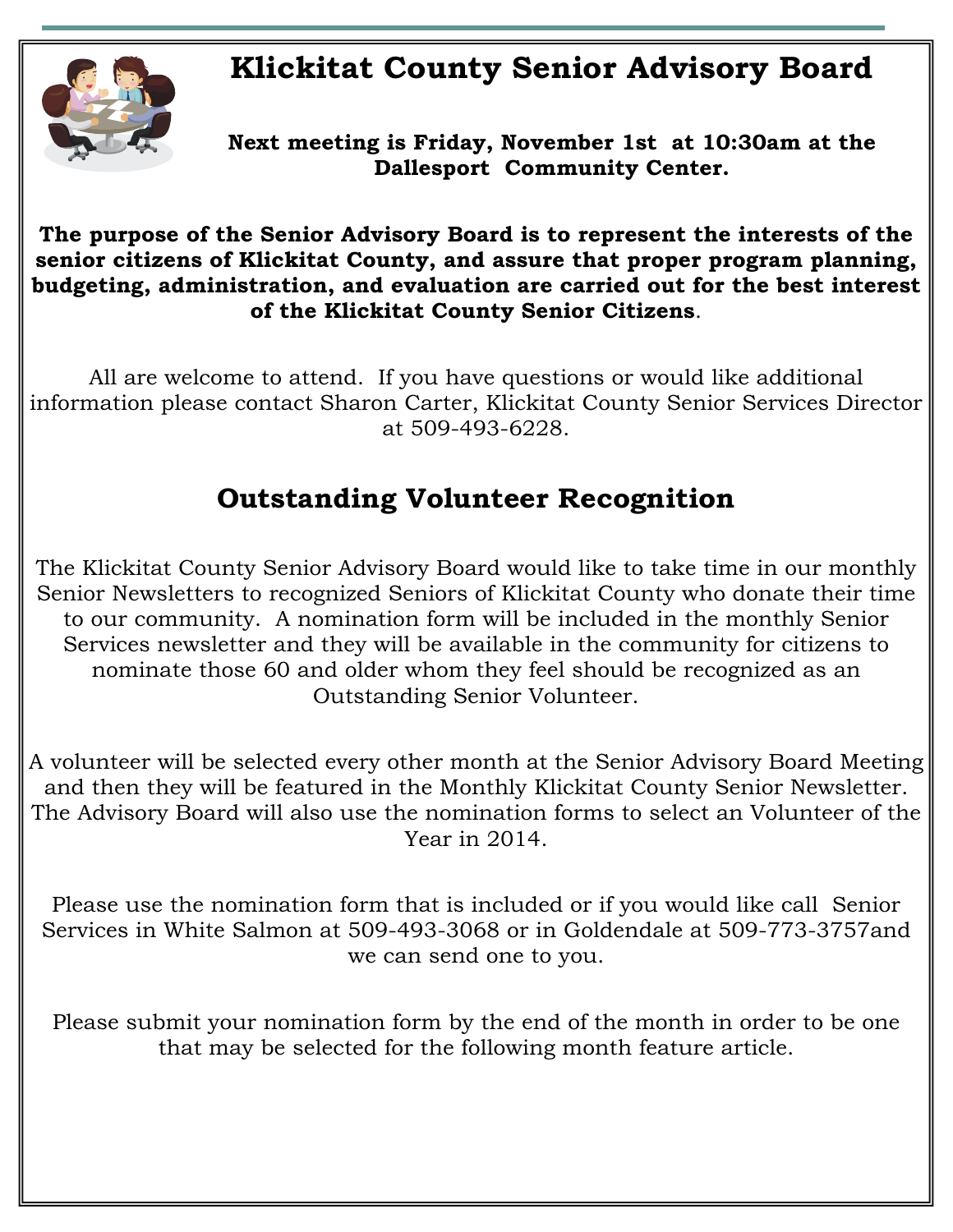## **Klickitat County Senior Advisory Board**



**Next meeting is Friday, November 1st at 10:30am at the Dallesport Community Center.** 

#### **The purpose of the Senior Advisory Board is to represent the interests of the senior citizens of Klickitat County, and assure that proper program planning, budgeting, administration, and evaluation are carried out for the best interest of the Klickitat County Senior Citizens**.

All are welcome to attend. If you have questions or would like additional information please contact Sharon Carter, Klickitat County Senior Services Director at 509-493-6228.

## **Outstanding Volunteer Recognition**

The Klickitat County Senior Advisory Board would like to take time in our monthly Senior Newsletters to recognized Seniors of Klickitat County who donate their time to our community. A nomination form will be included in the monthly Senior Services newsletter and they will be available in the community for citizens to nominate those 60 and older whom they feel should be recognized as an Outstanding Senior Volunteer.

A volunteer will be selected every other month at the Senior Advisory Board Meeting and then they will be featured in the Monthly Klickitat County Senior Newsletter. The Advisory Board will also use the nomination forms to select an Volunteer of the Year in 2014.

Please use the nomination form that is included or if you would like call Senior Services in White Salmon at 509-493-3068 or in Goldendale at 509-773-3757and we can send one to you.

Please submit your nomination form by the end of the month in order to be one that may be selected for the following month feature article.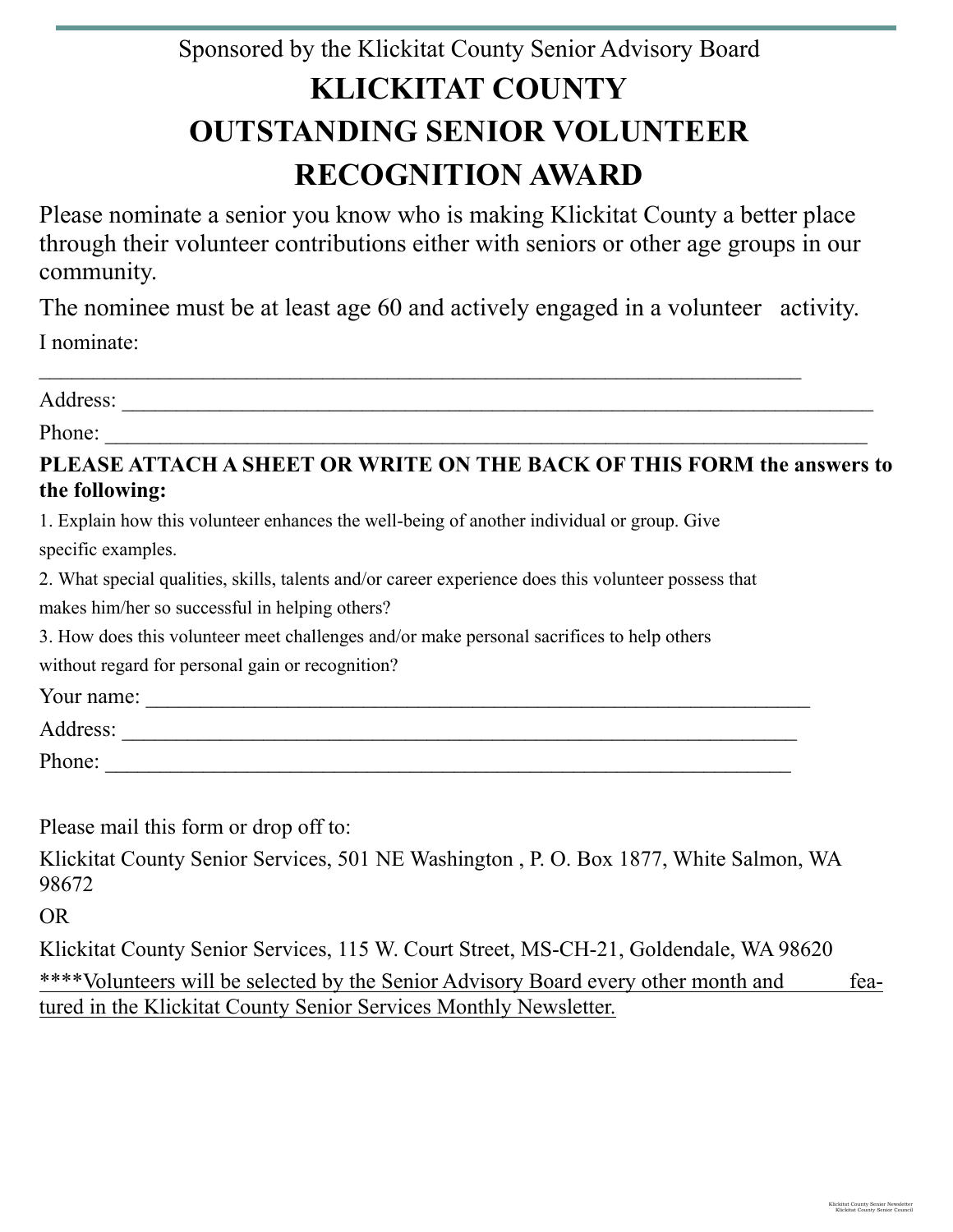## Sponsored by the Klickitat County Senior Advisory Board **KLICKITAT COUNTY OUTSTANDING SENIOR VOLUNTEER RECOGNITION AWARD**

Please nominate a senior you know who is making Klickitat County a better place through their volunteer contributions either with seniors or other age groups in our community.

The nominee must be at least age 60 and actively engaged in a volunteer activity. I nominate:

 $\mathcal{L}_\text{max}$  , and the contract of the contract of the contract of the contract of the contract of the contract of the contract of the contract of the contract of the contract of the contract of the contract of the contr

Address: \_\_\_\_\_\_\_\_\_\_\_\_\_\_\_\_\_\_\_\_\_\_\_\_\_\_\_\_\_\_\_\_\_\_\_\_\_\_\_\_\_\_\_\_\_\_\_\_\_\_\_\_\_\_\_\_\_\_\_\_\_\_\_\_\_\_\_\_\_

Phone:

#### **PLEASE ATTACH A SHEET OR WRITE ON THE BACK OF THIS FORM the answers to the following:**

1. Explain how this volunteer enhances the well-being of another individual or group. Give specific examples.

2. What special qualities, skills, talents and/or career experience does this volunteer possess that makes him/her so successful in helping others?

3. How does this volunteer meet challenges and/or make personal sacrifices to help others

without regard for personal gain or recognition?

Your name: \_\_\_\_\_\_\_\_\_\_\_\_\_\_\_\_\_\_\_\_\_\_\_\_\_\_\_\_\_\_\_\_\_\_\_\_\_\_\_\_\_\_\_\_\_\_\_\_\_\_\_\_\_\_\_\_\_\_\_\_\_

Address: \_\_\_\_\_\_\_\_\_\_\_\_\_\_\_\_\_\_\_\_\_\_\_\_\_\_\_\_\_\_\_\_\_\_\_\_\_\_\_\_\_\_\_\_\_\_\_\_\_\_\_\_\_\_\_\_\_\_\_\_\_\_

Phone:

Please mail this form or drop off to:

Klickitat County Senior Services, 501 NE Washington , P. O. Box 1877, White Salmon, WA 98672

OR

Klickitat County Senior Services, 115 W. Court Street, MS-CH-21, Goldendale, WA 98620 \*\*\*\*Volunteers will be selected by the Senior Advisory Board every other month and featured in the Klickitat County Senior Services Monthly Newsletter.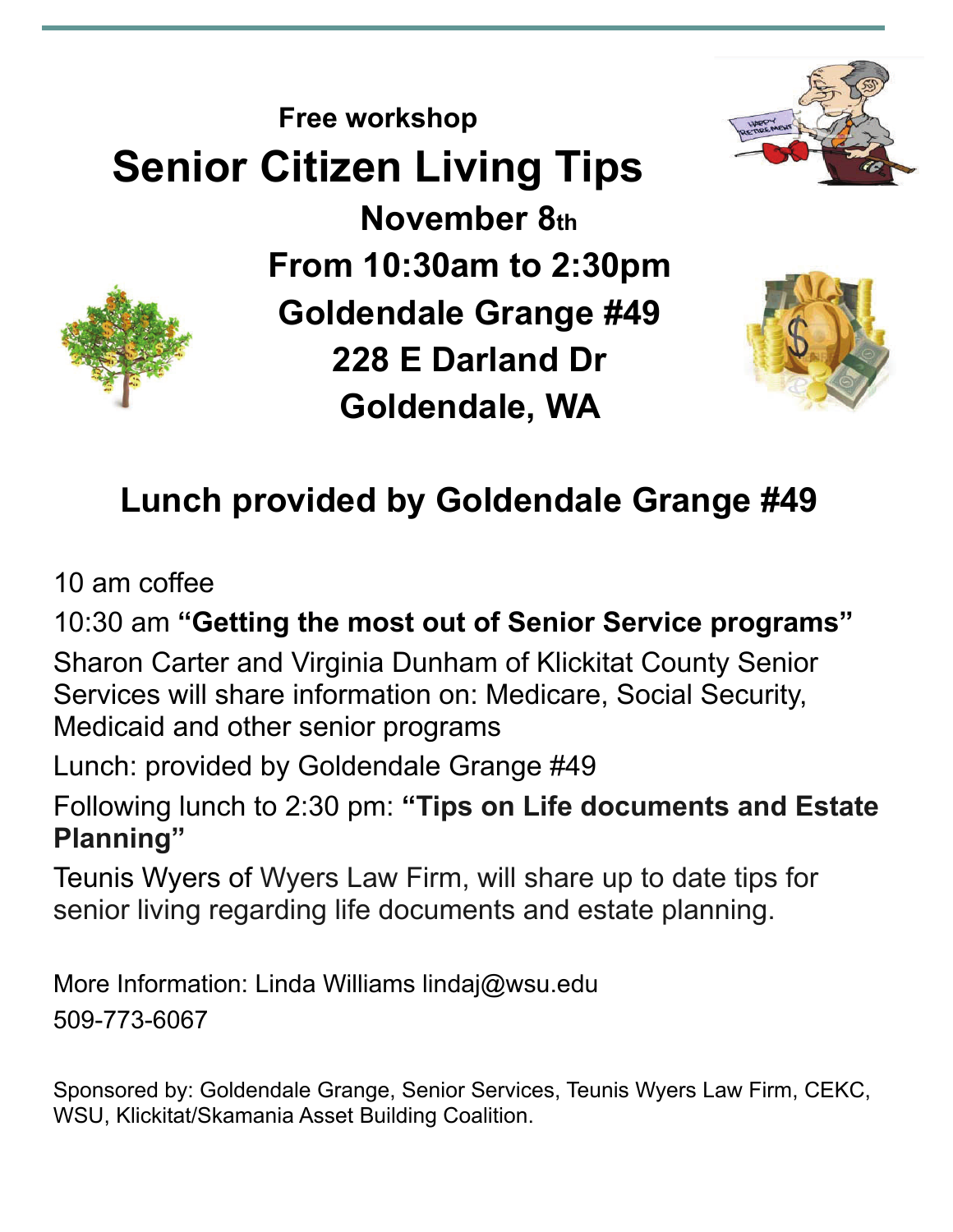





# **Lunch provided by Goldendale Grange #49**

10 am coffee

10:30 am **"Getting the most out of Senior Service programs"** 

Sharon Carter and Virginia Dunham of Klickitat County Senior Services will share information on: Medicare, Social Security, Medicaid and other senior programs

Lunch: provided by Goldendale Grange #49

Following lunch to 2:30 pm: **"Tips on Life documents and Estate Planning"** 

Teunis Wyers of Wyers Law Firm, will share up to date tips for senior living regarding life documents and estate planning.

More Information: Linda Williams lindaj@wsu.edu 509-773-6067

Sponsored by: Goldendale Grange, Senior Services, Teunis Wyers Law Firm, CEKC, WSU, Klickitat/Skamania Asset Building Coalition.